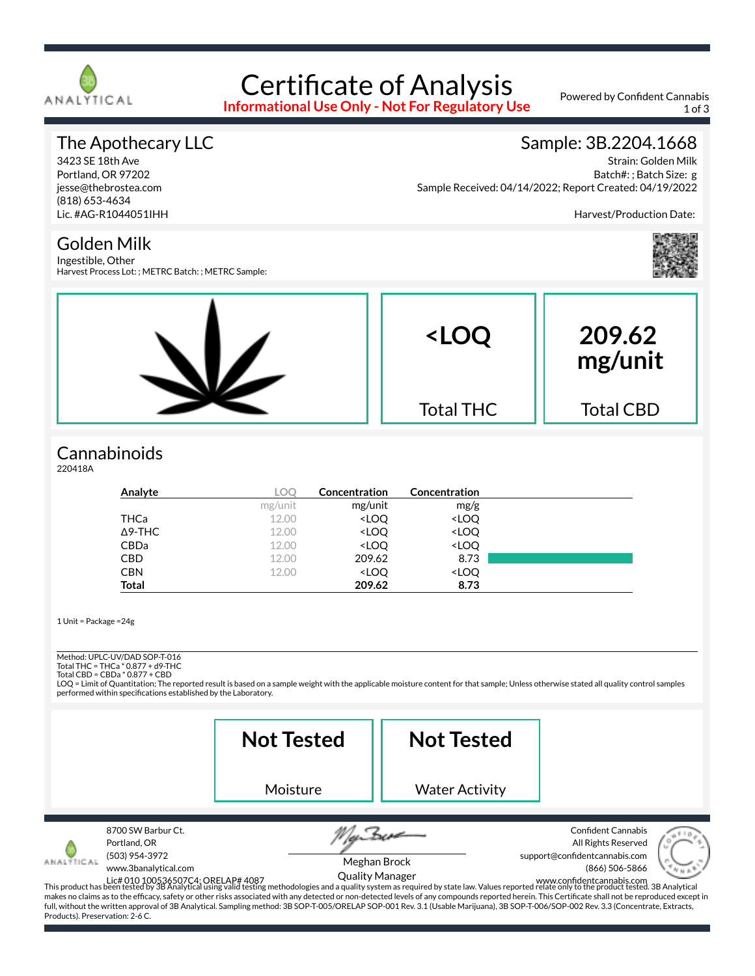

# Certificate of Analysis

**Informational Use Only - Not For Regulatory Use**

Powered by Confident Cannabis 1 of 3

#### The Apothecary LLC

3423 SE 18th Ave Portland, OR 97202 jesse@thebrostea.com (818) 653-4634 Lic. #AG-R1044051IHH

#### Sample: 3B.2204.1668

Strain: Golden Milk Batch#: ; Batch Size: g Sample Received: 04/14/2022; Report Created: 04/19/2022

Harvest/Production Date:



Golden Milk

Ingestible, Other Harvest Process Lot: ; METRC Batch: ; METRC Sample:



#### **Cannabinoids**

220418A

| Analyte        | <b>LOO</b> | Concentration                                            | Concentration                |  |
|----------------|------------|----------------------------------------------------------|------------------------------|--|
|                | mg/unit    | mg/unit                                                  | mg/g                         |  |
| THCa           | 12.00      | <loq< th=""><th><loq< th=""><th></th></loq<></th></loq<> | <loq< th=""><th></th></loq<> |  |
| $\Delta$ 9-THC | 12.00      | <loq< th=""><th><loq< th=""><th></th></loq<></th></loq<> | <loq< th=""><th></th></loq<> |  |
| <b>CBDa</b>    | 12.00      | <loq< th=""><th><loq< th=""><th></th></loq<></th></loq<> | <loq< th=""><th></th></loq<> |  |
| <b>CBD</b>     | 12.00      | 209.62                                                   | 8.73                         |  |
| <b>CBN</b>     | 12.00      | <loq< th=""><th><loq< th=""><th></th></loq<></th></loq<> | <loq< th=""><th></th></loq<> |  |
| <b>Total</b>   |            | 209.62                                                   | 8.73                         |  |

1 Unit = Package =24g

Method: UPLC-UV/DAD SOP-T-016

Total THC = THCa \* 0.877 + d9-THC Total CBD = CBDa \* 0.877 + CBD

LOQ = Limit of Quantitation; The reported result is based on a sample weight with the applicable moisture content for that sample; Unless otherwise stated all quality control samples performed within specifications established by the Laboratory.

|                                                                                                                               | <b>Not Tested</b>                                                                                                                                                                                                                                                                                                                                                                                                                                                                                                                                                                                                               | <b>Not Tested</b>                      |                                                                                                                                  |
|-------------------------------------------------------------------------------------------------------------------------------|---------------------------------------------------------------------------------------------------------------------------------------------------------------------------------------------------------------------------------------------------------------------------------------------------------------------------------------------------------------------------------------------------------------------------------------------------------------------------------------------------------------------------------------------------------------------------------------------------------------------------------|----------------------------------------|----------------------------------------------------------------------------------------------------------------------------------|
|                                                                                                                               | Moisture                                                                                                                                                                                                                                                                                                                                                                                                                                                                                                                                                                                                                        | <b>Water Activity</b>                  |                                                                                                                                  |
| 8700 SW Barbur Ct.<br>Portland, OR<br>(503) 954-3972<br>ANALYTICAL<br>www.3banalytical.com<br>Products). Preservation: 2-6 C. | Lic# 010 100536507C4; ORELAP# 4087<br>This product has been tested by 3B Analytical using valid testing methodologies and a quality system as required by state law. Values reported relate only to the product tested. 3B Analyt<br>makes no claims as to the efficacy, safety or other risks associated with any detected or non-detected levels of any compounds reported herein. This Certificate shall not be reproduced except in<br>full, without the written approval of 3B Analytical. Sampling method: 3B SOP-T-005/ORELAP SOP-001 Rev. 3.1 (Usable Marijuana), 3B SOP-T-006/SOP-002 Rev. 3.3 (Concentrate, Extracts, | Meghan Brock<br><b>Quality Manager</b> | <b>Confident Cannabis</b><br>All Rights Reserved<br>support@confidentcannabis.com<br>(866) 506-5866<br>www.confidentcannabis.com |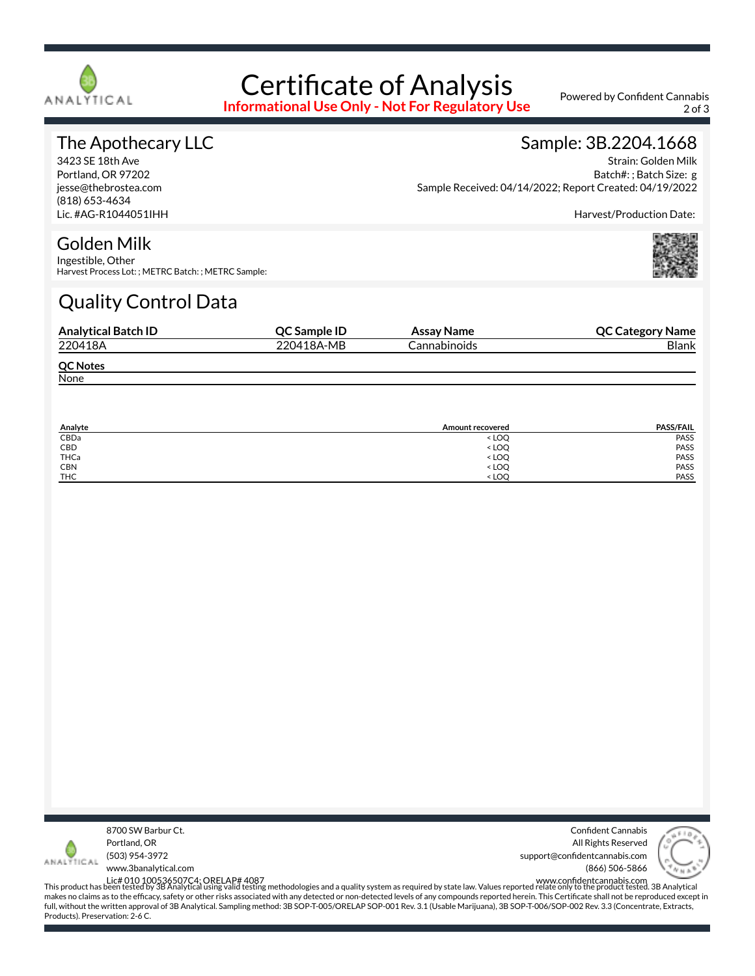

# Certificate of Analysis

**Informational Use Only - Not For Regulatory Use**

Powered by Confident Cannabis 2 of 3

#### The Apothecary LLC

3423 SE 18th Ave Portland, OR 97202 jesse@thebrostea.com (818) 653-4634 Lic. #AG-R1044051IHH

#### Sample: 3B.2204.1668

Strain: Golden Milk Batch#: ; Batch Size: g Sample Received: 04/14/2022; Report Created: 04/19/2022

Harvest/Production Date:

#### Golden Milk

Ingestible, Other Harvest Process Lot: ; METRC Batch: ; METRC Sample:

### Quality Control Data

| <b>Analytical Batch ID</b> | <b>OC Sample ID</b> | Assay Name   | <b>QC Category Name</b> |
|----------------------------|---------------------|--------------|-------------------------|
| 220418A                    | 220418A-MB          | Cannabinoids | <b>Blank</b>            |
| <b>QC Notes</b>            |                     |              |                         |
| None                       |                     |              |                         |

| Analyte    | <b>Amount recovered</b>                 | <b>PASS/FAIL</b> |
|------------|-----------------------------------------|------------------|
| CBDa       | <loq< td=""><td>PASS</td></loq<>        | PASS             |
| CBD        | <loq< td=""><td>PASS</td></loq<>        | PASS             |
| THCa       | < LOQ                                   | PASS             |
| <b>CBN</b> | <loq< td=""><td><b>PASS</b></td></loq<> | <b>PASS</b>      |
| <b>THC</b> | $<$ LOO                                 | PASS             |



Confident Cannabis All Rights Reserved support@confidentcannabis.com (866) 506-5866



www.3banalytical.com

Lic# 010 100536507C4; ORELAP# 4087<br>This product has been tested by 3B Analytical using valid testing methodologies and a quality system as required by state law. Values reported relate only to the product tested. 3B Analyt makes no claims as to the efficacy, safety or other risks associated with any detected or non-detected levels of any compounds reported herein. This Certificate shall not be reproduced except in full, without the written approval of 3B Analytical. Sampling method: 3B SOP-T-005/ORELAP SOP-001 Rev. 3.1 (Usable Marijuana), 3B SOP-T-006/SOP-002 Rev. 3.3 (Concentrate, Extracts, Products). Preservation: 2-6 C.